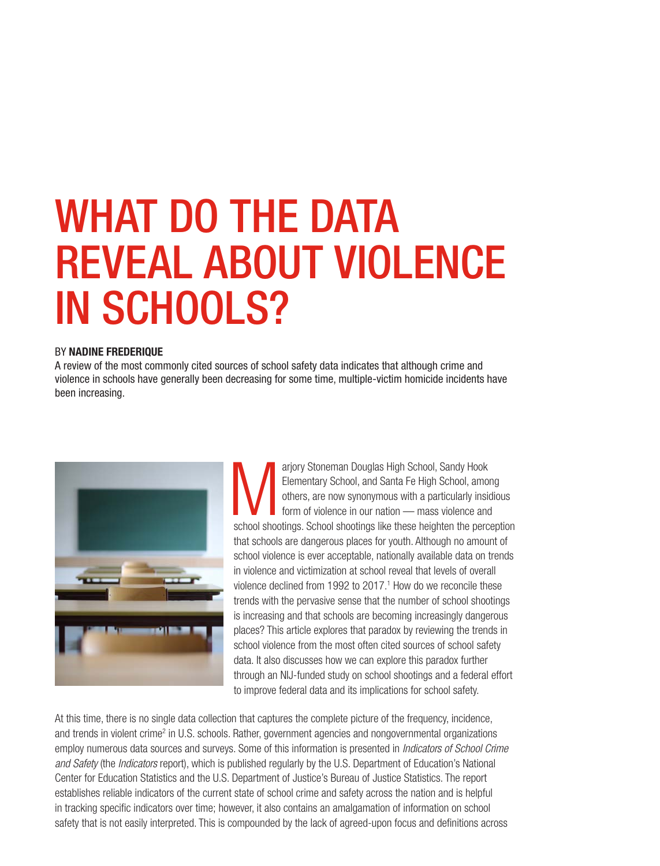# WHAT DO THE DATA REVEAL ABOUT VIOLENCE IN SCHOOLS?

#### BY NADINE FREDERIQUE

A review of the most commonly cited sources of school safety data indicates that although crime and violence in schools have generally been decreasing for some time, multiple-victim homicide incidents have been increasing.



arjory Stoneman Douglas High School, Sandy Hook<br>Elementary School, and Santa Fe High School, amon<br>others, are now synonymous with a particularly insidence<br>form of violence in our nation — mass violence and<br>school shootings Elementary School, and Santa Fe High School, among others, are now synonymous with a particularly insidious form of violence in our nation — mass violence and school shootings. School shootings like these heighten the perception that schools are dangerous places for youth. Although no amount of school violence is ever acceptable, nationally available data on trends in violence and victimization at school reveal that levels of overall violence declined from 1992 to 2017.<sup>1</sup> How do we reconcile these trends with the pervasive sense that the number of school shootings is increasing and that schools are becoming increasingly dangerous places? This article explores that paradox by reviewing the trends in school violence from the most often cited sources of school safety data. It also discusses how we can explore this paradox further through an NIJ-funded study on school shootings and a federal effort to improve federal data and its implications for school safety.

At this time, there is no single data collection that captures the complete picture of the frequency, incidence, and trends in violent crime<sup>2</sup> in U.S. schools. Rather, government agencies and nongovernmental organizations employ numerous data sources and surveys. Some of this information is presented in *Indicators of School Crime and Safety* (the *Indicators* report), which is published regularly by the U.S. Department of Education's National Center for Education Statistics and the U.S. Department of Justice's Bureau of Justice Statistics. The report establishes reliable indicators of the current state of school crime and safety across the nation and is helpful in tracking specific indicators over time; however, it also contains an amalgamation of information on school safety that is not easily interpreted. This is compounded by the lack of agreed-upon focus and definitions across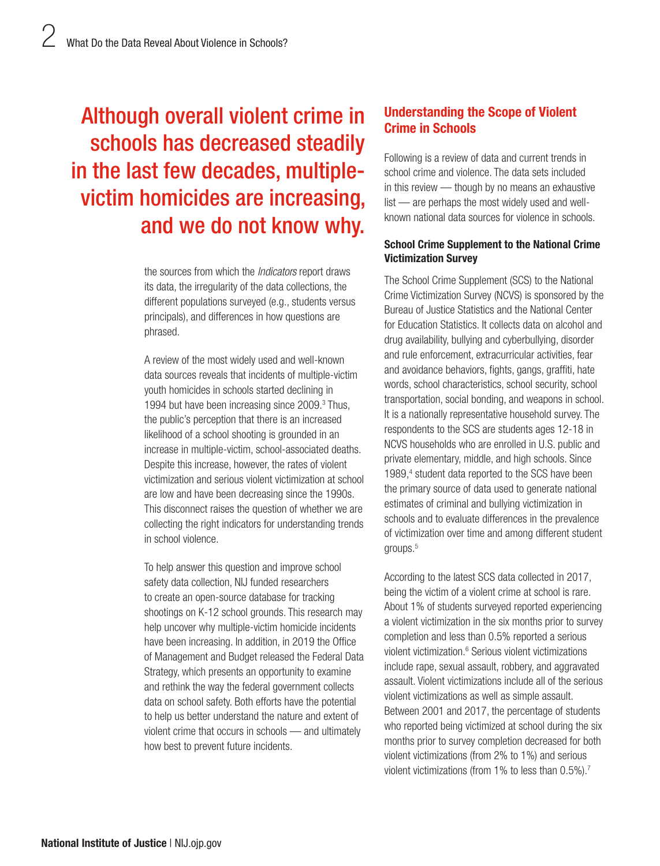Although overall violent crime in schools has decreased steadily in the last few decades, multiplevictim homicides are increasing, and we do not know why.

> the sources from which the *Indicators* report draws its data, the irregularity of the data collections, the different populations surveyed (e.g., students versus principals), and differences in how questions are phrased.

A review of the most widely used and well-known data sources reveals that incidents of multiple-victim youth homicides in schools started declining in 1994 but have been increasing since 2009.<sup>3</sup> Thus, the public's perception that there is an increased likelihood of a school shooting is grounded in an increase in multiple-victim, school-associated deaths. Despite this increase, however, the rates of violent victimization and serious violent victimization at school are low and have been decreasing since the 1990s. This disconnect raises the question of whether we are collecting the right indicators for understanding trends in school violence.

To help answer this question and improve school safety data collection, NIJ funded researchers to create an open-source database for tracking shootings on K-12 school grounds. This research may help uncover why multiple-victim homicide incidents have been increasing. In addition, in 2019 the Office of Management and Budget released the Federal Data Strategy, which presents an opportunity to examine and rethink the way the federal government collects data on school safety. Both efforts have the potential to help us better understand the nature and extent of violent crime that occurs in schools — and ultimately how best to prevent future incidents.

# Understanding the Scope of Violent Crime in Schools

Following is a review of data and current trends in school crime and violence. The data sets included in this review — though by no means an exhaustive list — are perhaps the most widely used and wellknown national data sources for violence in schools.

#### School Crime Supplement to the National Crime Victimization Survey

The School Crime Supplement (SCS) to the National Crime Victimization Survey (NCVS) is sponsored by the Bureau of Justice Statistics and the National Center for Education Statistics. It collects data on alcohol and drug availability, bullying and cyberbullying, disorder and rule enforcement, extracurricular activities, fear and avoidance behaviors, fights, gangs, graffiti, hate words, school characteristics, school security, school transportation, social bonding, and weapons in school. It is a nationally representative household survey. The respondents to the SCS are students ages 12-18 in NCVS households who are enrolled in U.S. public and private elementary, middle, and high schools. Since 1989,<sup>4</sup> student data reported to the SCS have been the primary source of data used to generate national estimates of criminal and bullying victimization in schools and to evaluate differences in the prevalence of victimization over time and among different student groups.5

According to the latest SCS data collected in 2017, being the victim of a violent crime at school is rare. About 1% of students surveyed reported experiencing a violent victimization in the six months prior to survey completion and less than 0.5% reported a serious violent victimization.<sup>6</sup> Serious violent victimizations include rape, sexual assault, robbery, and aggravated assault. Violent victimizations include all of the serious violent victimizations as well as simple assault. Between 2001 and 2017, the percentage of students who reported being victimized at school during the six months prior to survey completion decreased for both violent victimizations (from 2% to 1%) and serious violent victimizations (from 1% to less than 0.5%).7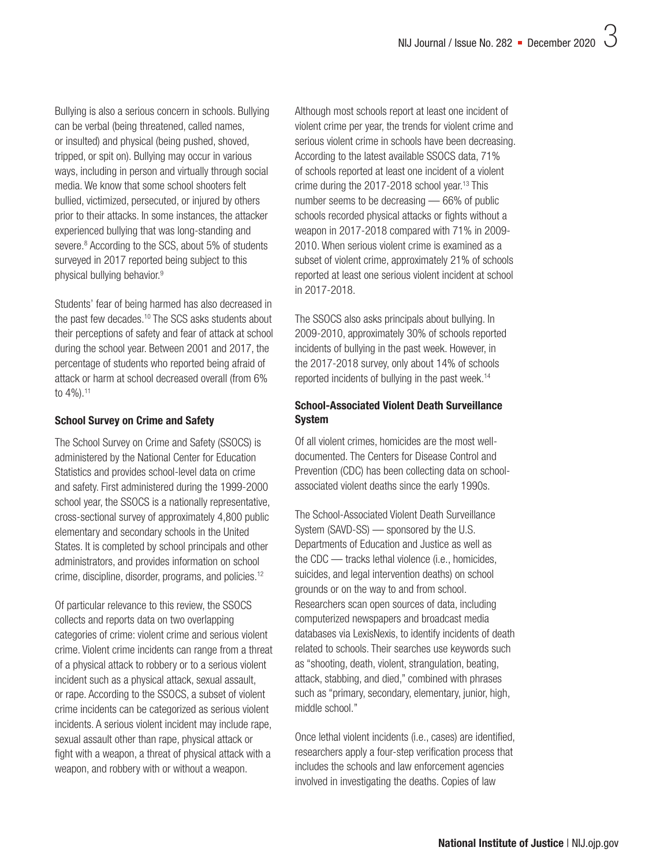Bullying is also a serious concern in schools. Bullying can be verbal (being threatened, called names, or insulted) and physical (being pushed, shoved, tripped, or spit on). Bullying may occur in various ways, including in person and virtually through social media. We know that some school shooters felt bullied, victimized, persecuted, or injured by others prior to their attacks. In some instances, the attacker experienced bullying that was long-standing and severe.<sup>8</sup> According to the SCS, about 5% of students surveyed in 2017 reported being subject to this physical bullying behavior.9

Students' fear of being harmed has also decreased in the past few decades.<sup>10</sup> The SCS asks students about their perceptions of safety and fear of attack at school during the school year. Between 2001 and 2017, the percentage of students who reported being afraid of attack or harm at school decreased overall (from 6% to 4%).11

## School Survey on Crime and Safety

The School Survey on Crime and Safety (SSOCS) is administered by the National Center for Education Statistics and provides school-level data on crime and safety. First administered during the 1999-2000 school year, the SSOCS is a nationally representative, cross-sectional survey of approximately 4,800 public elementary and secondary schools in the United States. It is completed by school principals and other administrators, and provides information on school crime, discipline, disorder, programs, and policies.12

Of particular relevance to this review, the SSOCS collects and reports data on two overlapping categories of crime: violent crime and serious violent crime. Violent crime incidents can range from a threat of a physical attack to robbery or to a serious violent incident such as a physical attack, sexual assault, or rape. According to the SSOCS, a subset of violent crime incidents can be categorized as serious violent incidents. A serious violent incident may include rape, sexual assault other than rape, physical attack or fight with a weapon, a threat of physical attack with a weapon, and robbery with or without a weapon.

Although most schools report at least one incident of violent crime per year, the trends for violent crime and serious violent crime in schools have been decreasing. According to the latest available SSOCS data, 71% of schools reported at least one incident of a violent crime during the 2017-2018 school year.13 This number seems to be decreasing — 66% of public schools recorded physical attacks or fights without a weapon in 2017-2018 compared with 71% in 2009- 2010. When serious violent crime is examined as a subset of violent crime, approximately 21% of schools reported at least one serious violent incident at school in 2017-2018.

The SSOCS also asks principals about bullying. In 2009-2010, approximately 30% of schools reported incidents of bullying in the past week. However, in the 2017-2018 survey, only about 14% of schools reported incidents of bullying in the past week.14

## School-Associated Violent Death Surveillance System

Of all violent crimes, homicides are the most welldocumented. The Centers for Disease Control and Prevention (CDC) has been collecting data on schoolassociated violent deaths since the early 1990s.

The School-Associated Violent Death Surveillance System (SAVD-SS) — sponsored by the U.S. Departments of Education and Justice as well as the CDC — tracks lethal violence (i.e., homicides, suicides, and legal intervention deaths) on school grounds or on the way to and from school. Researchers scan open sources of data, including computerized newspapers and broadcast media databases via LexisNexis, to identify incidents of death related to schools. Their searches use keywords such as "shooting, death, violent, strangulation, beating, attack, stabbing, and died," combined with phrases such as "primary, secondary, elementary, junior, high, middle school."

Once lethal violent incidents (i.e., cases) are identified, researchers apply a four-step verification process that includes the schools and law enforcement agencies involved in investigating the deaths. Copies of law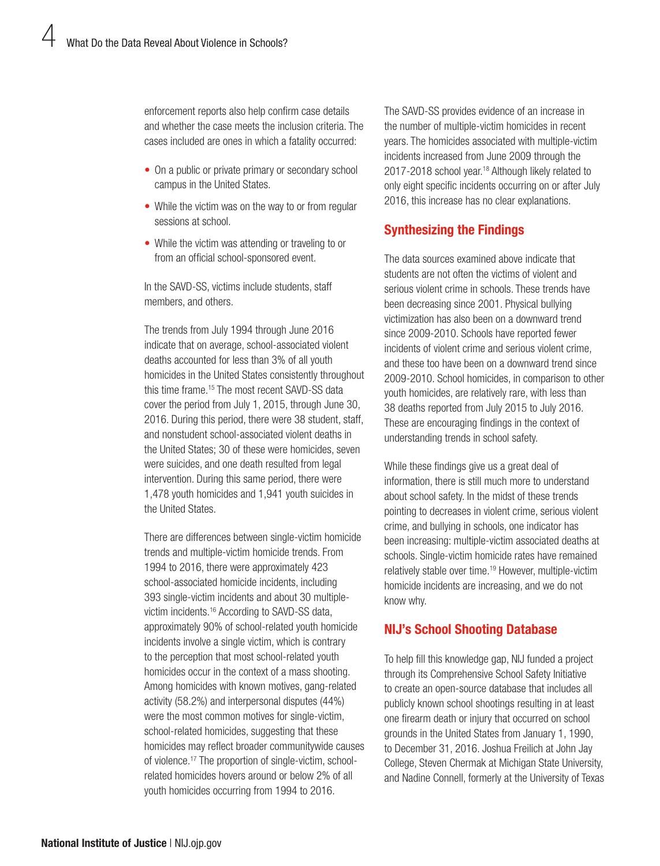enforcement reports also help confirm case details and whether the case meets the inclusion criteria. The cases included are ones in which a fatality occurred:

- On a public or private primary or secondary school campus in the United States.
- While the victim was on the way to or from regular sessions at school.
- While the victim was attending or traveling to or from an official school-sponsored event.

In the SAVD-SS, victims include students, staff members, and others.

The trends from July 1994 through June 2016 indicate that on average, school-associated violent deaths accounted for less than 3% of all youth homicides in the United States consistently throughout this time frame.15 The most recent SAVD-SS data cover the period from July 1, 2015, through June 30, 2016. During this period, there were 38 student, staff, and nonstudent school-associated violent deaths in the United States; 30 of these were homicides, seven were suicides, and one death resulted from legal intervention. During this same period, there were 1,478 youth homicides and 1,941 youth suicides in the United States.

There are differences between single-victim homicide trends and multiple-victim homicide trends. From 1994 to 2016, there were approximately 423 school-associated homicide incidents, including 393 single-victim incidents and about 30 multiplevictim incidents.16 According to SAVD-SS data, approximately 90% of school-related youth homicide incidents involve a single victim, which is contrary to the perception that most school-related youth homicides occur in the context of a mass shooting. Among homicides with known motives, gang-related activity (58.2%) and interpersonal disputes (44%) were the most common motives for single-victim, school-related homicides, suggesting that these homicides may reflect broader communitywide causes of violence.17 The proportion of single-victim, schoolrelated homicides hovers around or below 2% of all youth homicides occurring from 1994 to 2016.

The SAVD-SS provides evidence of an increase in the number of multiple-victim homicides in recent years. The homicides associated with multiple-victim incidents increased from June 2009 through the 2017-2018 school year.<sup>18</sup> Although likely related to only eight specific incidents occurring on or after July 2016, this increase has no clear explanations.

# Synthesizing the Findings

The data sources examined above indicate that students are not often the victims of violent and serious violent crime in schools. These trends have been decreasing since 2001. Physical bullying victimization has also been on a downward trend since 2009-2010. Schools have reported fewer incidents of violent crime and serious violent crime, and these too have been on a downward trend since 2009-2010. School homicides, in comparison to other youth homicides, are relatively rare, with less than 38 deaths reported from July 2015 to July 2016. These are encouraging findings in the context of understanding trends in school safety.

While these findings give us a great deal of information, there is still much more to understand about school safety. In the midst of these trends pointing to decreases in violent crime, serious violent crime, and bullying in schools, one indicator has been increasing: multiple-victim associated deaths at schools. Single-victim homicide rates have remained relatively stable over time.19 However, multiple-victim homicide incidents are increasing, and we do not know why.

# NIJ's School Shooting Database

To help fill this knowledge gap, NIJ funded a project through its Comprehensive School Safety Initiative to create an open-source database that includes all publicly known school shootings resulting in at least one firearm death or injury that occurred on school grounds in the United States from January 1, 1990, to December 31, 2016. Joshua Freilich at John Jay College, Steven Chermak at Michigan State University, and Nadine Connell, formerly at the University of Texas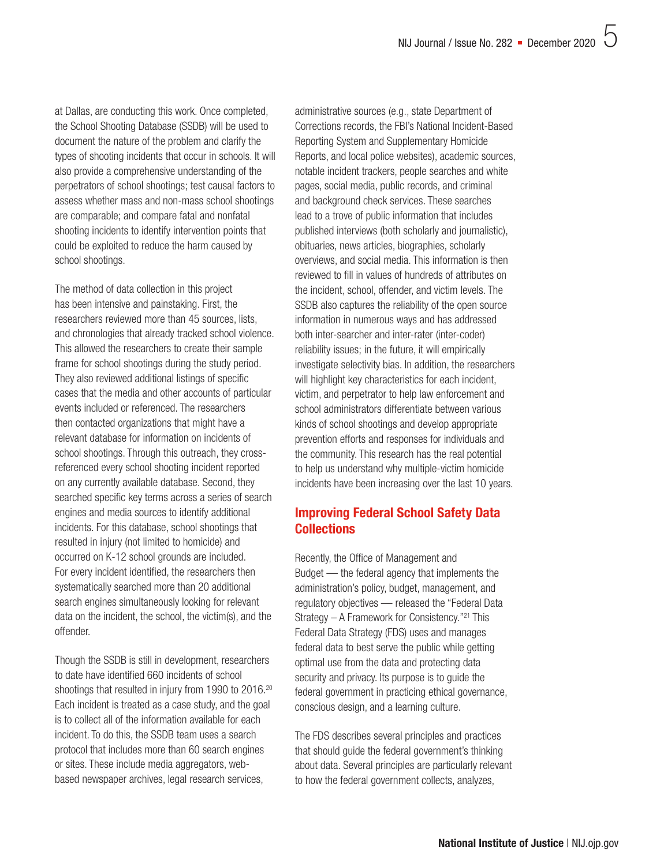at Dallas, are conducting this work. Once completed, the School Shooting Database (SSDB) will be used to document the nature of the problem and clarify the types of shooting incidents that occur in schools. It will also provide a comprehensive understanding of the perpetrators of school shootings; test causal factors to assess whether mass and non-mass school shootings are comparable; and compare fatal and nonfatal shooting incidents to identify intervention points that could be exploited to reduce the harm caused by school shootings.

The method of data collection in this project has been intensive and painstaking. First, the researchers reviewed more than 45 sources, lists, and chronologies that already tracked school violence. This allowed the researchers to create their sample frame for school shootings during the study period. They also reviewed additional listings of specific cases that the media and other accounts of particular events included or referenced. The researchers then contacted organizations that might have a relevant database for information on incidents of school shootings. Through this outreach, they crossreferenced every school shooting incident reported on any currently available database. Second, they searched specific key terms across a series of search engines and media sources to identify additional incidents. For this database, school shootings that resulted in injury (not limited to homicide) and occurred on K-12 school grounds are included. For every incident identified, the researchers then systematically searched more than 20 additional search engines simultaneously looking for relevant data on the incident, the school, the victim(s), and the offender.

Though the SSDB is still in development, researchers to date have identified 660 incidents of school shootings that resulted in injury from 1990 to 2016.<sup>20</sup> Each incident is treated as a case study, and the goal is to collect all of the information available for each incident. To do this, the SSDB team uses a search protocol that includes more than 60 search engines or sites. These include media aggregators, webbased newspaper archives, legal research services,

administrative sources (e.g., state Department of Corrections records, the FBI's National Incident-Based Reporting System and Supplementary Homicide Reports, and local police websites), academic sources, notable incident trackers, people searches and white pages, social media, public records, and criminal and background check services. These searches lead to a trove of public information that includes published interviews (both scholarly and journalistic), obituaries, news articles, biographies, scholarly overviews, and social media. This information is then reviewed to fill in values of hundreds of attributes on the incident, school, offender, and victim levels. The SSDB also captures the reliability of the open source information in numerous ways and has addressed both inter-searcher and inter-rater (inter-coder) reliability issues; in the future, it will empirically investigate selectivity bias. In addition, the researchers will highlight key characteristics for each incident, victim, and perpetrator to help law enforcement and school administrators differentiate between various kinds of school shootings and develop appropriate prevention efforts and responses for individuals and the community. This research has the real potential to help us understand why multiple-victim homicide incidents have been increasing over the last 10 years.

# Improving Federal School Safety Data **Collections**

Recently, the Office of Management and Budget — the federal agency that implements the administration's policy, budget, management, and regulatory objectives — released the "Federal Data Strategy – A Framework for Consistency."21 This Federal Data Strategy (FDS) uses and manages federal data to best serve the public while getting optimal use from the data and protecting data security and privacy. Its purpose is to guide the federal government in practicing ethical governance, conscious design, and a learning culture.

The FDS describes several principles and practices that should guide the federal government's thinking about data. Several principles are particularly relevant to how the federal government collects, analyzes,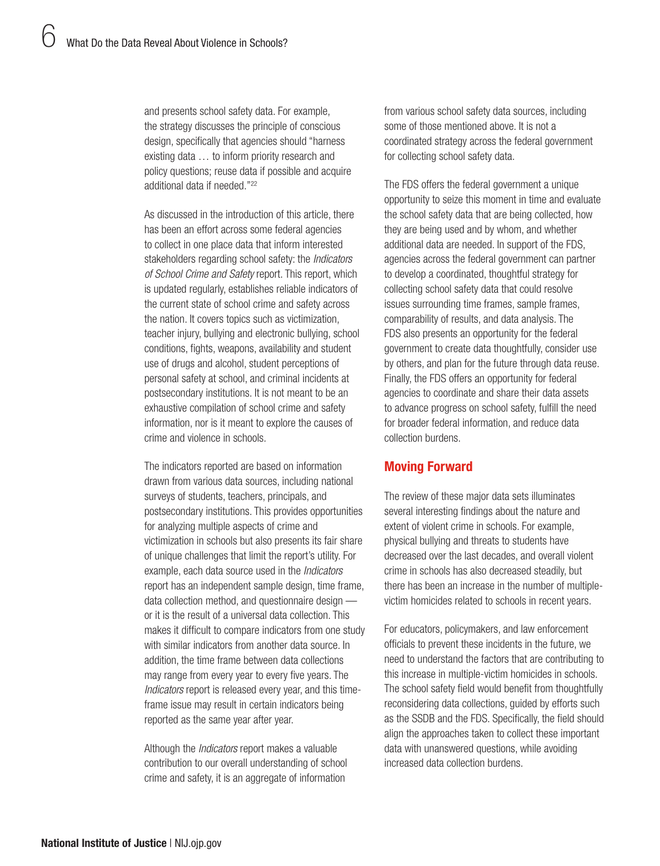and presents school safety data. For example, the strategy discusses the principle of conscious design, specifically that agencies should "harness existing data … to inform priority research and policy questions; reuse data if possible and acquire additional data if needed."22

As discussed in the introduction of this article, there has been an effort across some federal agencies to collect in one place data that inform interested stakeholders regarding school safety: the *Indicators of School Crime and Safety* report. This report, which is updated regularly, establishes reliable indicators of the current state of school crime and safety across the nation. It covers topics such as victimization, teacher injury, bullying and electronic bullying, school conditions, fights, weapons, availability and student use of drugs and alcohol, student perceptions of personal safety at school, and criminal incidents at postsecondary institutions. It is not meant to be an exhaustive compilation of school crime and safety information, nor is it meant to explore the causes of crime and violence in schools.

The indicators reported are based on information drawn from various data sources, including national surveys of students, teachers, principals, and postsecondary institutions. This provides opportunities for analyzing multiple aspects of crime and victimization in schools but also presents its fair share of unique challenges that limit the report's utility. For example, each data source used in the *Indicators* report has an independent sample design, time frame, data collection method, and questionnaire design or it is the result of a universal data collection. This makes it difficult to compare indicators from one study with similar indicators from another data source. In addition, the time frame between data collections may range from every year to every five years. The *Indicators* report is released every year, and this timeframe issue may result in certain indicators being reported as the same year after year.

Although the *Indicators* report makes a valuable contribution to our overall understanding of school crime and safety, it is an aggregate of information

from various school safety data sources, including some of those mentioned above. It is not a coordinated strategy across the federal government for collecting school safety data.

The FDS offers the federal government a unique opportunity to seize this moment in time and evaluate the school safety data that are being collected, how they are being used and by whom, and whether additional data are needed. In support of the FDS, agencies across the federal government can partner to develop a coordinated, thoughtful strategy for collecting school safety data that could resolve issues surrounding time frames, sample frames, comparability of results, and data analysis. The FDS also presents an opportunity for the federal government to create data thoughtfully, consider use by others, and plan for the future through data reuse. Finally, the FDS offers an opportunity for federal agencies to coordinate and share their data assets to advance progress on school safety, fulfill the need for broader federal information, and reduce data collection burdens.

## Moving Forward

The review of these major data sets illuminates several interesting findings about the nature and extent of violent crime in schools. For example, physical bullying and threats to students have decreased over the last decades, and overall violent crime in schools has also decreased steadily, but there has been an increase in the number of multiplevictim homicides related to schools in recent years.

For educators, policymakers, and law enforcement officials to prevent these incidents in the future, we need to understand the factors that are contributing to this increase in multiple-victim homicides in schools. The school safety field would benefit from thoughtfully reconsidering data collections, guided by efforts such as the SSDB and the FDS. Specifically, the field should align the approaches taken to collect these important data with unanswered questions, while avoiding increased data collection burdens.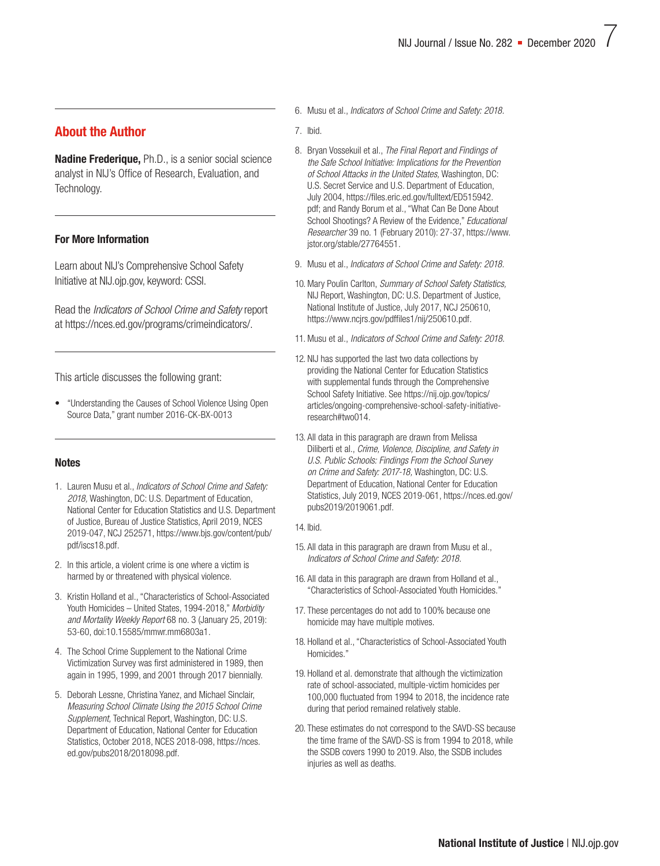## About the Author

Nadine Frederique, Ph.D., is a senior social science analyst in NIJ's Office of Research, Evaluation, and Technology.

#### For More Information

Learn about NIJ's Comprehensive School Safety Initiative at [NIJ.ojp.gov, keyword: CSSI.](https://nij.ojp.gov/topics/articles/nijs-comprehensive-school-safety-initiative)

Read the *Indicators of School Crime and Safety* report at <https://nces.ed.gov/programs/crimeindicators/>.

This article discusses the following grant:

• ["Understanding the Causes of School Violence Using Open](https://nij.ojp.gov/funding/awards/2016-ck-bx-0013)  [Source Data," grant number 2016-CK-BX-0013](https://nij.ojp.gov/funding/awards/2016-ck-bx-0013) 

#### **Notes**

- 1. Lauren Musu et al., *Indicators of School Crime and Safety: 2018,* Washington, DC: U.S. Department of Education, National Center for Education Statistics and U.S. Department of Justice, Bureau of Justice Statistics, April 2019, NCES 2019-047, NCJ 252571, [https://www.bjs.gov/content/pub/](https://www.bjs.gov/content/pub/pdf/iscs18.pdf) [pdf/iscs18.pdf](https://www.bjs.gov/content/pub/pdf/iscs18.pdf).
- 2. In this article, a violent crime is one where a victim is harmed by or threatened with physical violence.
- 3. Kristin Holland et al., "Characteristics of School-Associated Youth Homicides – United States, 1994-2018," *Morbidity and Mortality Weekly Report* 68 no. 3 (January 25, 2019): 53-60, [doi:10.15585/mmwr.mm6803a1.](https://doi.org/10.15585/mmwr.mm6803a1)
- 4. The School Crime Supplement to the National Crime Victimization Survey was first administered in 1989, then again in 1995, 1999, and 2001 through 2017 biennially.
- 5. Deborah Lessne, Christina Yanez, and Michael Sinclair, *Measuring School Climate Using the 2015 School Crime Supplement,* Technical Report, Washington, DC: U.S. Department of Education, National Center for Education Statistics, October 2018, NCES 2018-098, [https://nces.](https://nces.ed.gov/pubs2018/2018098.pdf) [ed.gov/pubs2018/2018098.pdf.](https://nces.ed.gov/pubs2018/2018098.pdf)

6. Musu et al., *Indicators of School Crime and Safety: 2018.*

7. Ibid.

- 8. Bryan Vossekuil et al., *The Final Report and Findings of the Safe School Initiative: Implications for the Prevention of School Attacks in the United States,* Washington, DC: U.S. Secret Service and U.S. Department of Education, July 2004, [https://files.eric.ed.gov/fulltext/ED515942.](https://files.eric.ed.gov/fulltext/ED515942.pdf) [pdf;](https://files.eric.ed.gov/fulltext/ED515942.pdf) and Randy Borum et al., "What Can Be Done About School Shootings? A Review of the Evidence," *Educational Researcher* 39 no. 1 (February 2010): 27-37, [https://www.](https://www.jstor.org/stable/27764551) [jstor.org/stable/27764551.](https://www.jstor.org/stable/27764551)
- 9. Musu et al., *Indicators of School Crime and Safety: 2018.*
- 10.Mary Poulin Carlton, *Summary of School Safety Statistics,* NIJ Report, Washington, DC: U.S. Department of Justice, National Institute of Justice, July 2017, NCJ 250610, [https://www.ncjrs.gov/pdffiles1/nij/250610.pdf.](https://www.ncjrs.gov/pdffiles1/nij/250610.pdf)
- 11.Musu et al., *Indicators of School Crime and Safety: 2018.*
- 12. NIJ has supported the last two data collections by providing the National Center for Education Statistics with supplemental funds through the Comprehensive School Safety Initiative. See [https://nij.ojp.gov/topics/](https://nij.ojp.gov/topics/articles/ongoing-comprehensive-school-safety-initiative-research#two014) [articles/ongoing-comprehensive-school-safety-initiative](https://nij.ojp.gov/topics/articles/ongoing-comprehensive-school-safety-initiative-research#two014)[research#two014](https://nij.ojp.gov/topics/articles/ongoing-comprehensive-school-safety-initiative-research#two014).
- 13. All data in this paragraph are drawn from Melissa Diliberti et al., *Crime, Violence, Discipline, and Safety in U.S. Public Schools: Findings From the School Survey on Crime and Safety: 2017-18,* Washington, DC: U.S. Department of Education, National Center for Education Statistics, July 2019, NCES 2019-061, [https://nces.ed.gov/](https://nces.ed.gov/pubs2019/2019061.pdf) [pubs2019/2019061.pdf.](https://nces.ed.gov/pubs2019/2019061.pdf)

14. Ibid.

- 15. All data in this paragraph are drawn from Musu et al., *Indicators of School Crime and Safety: 2018.*
- 16. All data in this paragraph are drawn from Holland et al., "Characteristics of School-Associated Youth Homicides."
- 17. These percentages do not add to 100% because one homicide may have multiple motives.
- 18. Holland et al., "Characteristics of School-Associated Youth Homicides."
- 19. Holland et al. demonstrate that although the victimization rate of school-associated, multiple-victim homicides per 100,000 fluctuated from 1994 to 2018, the incidence rate during that period remained relatively stable.
- 20. These estimates do not correspond to the SAVD-SS because the time frame of the SAVD-SS is from 1994 to 2018, while the SSDB covers 1990 to 2019. Also, the SSDB includes injuries as well as deaths.